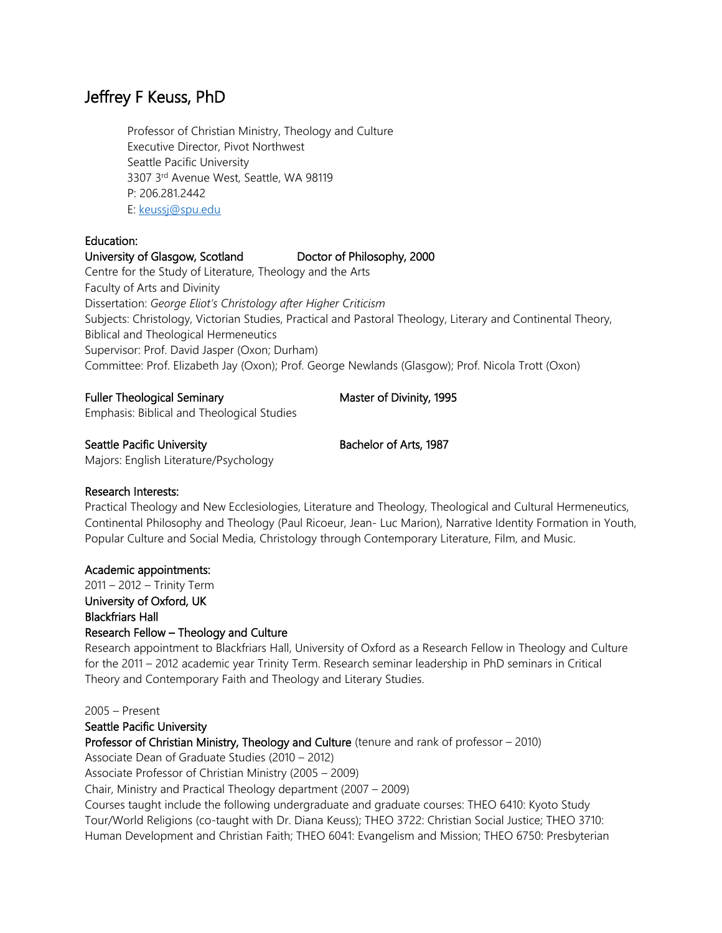# Jeffrey F Keuss, PhD

Professor of Christian Ministry, Theology and Culture Executive Director, Pivot Northwest Seattle Pacific University 3307 3rd Avenue West, Seattle, WA 98119 P: 206.281.2442 E: [keussj@spu.edu](mailto:keussj@spu.edu)

## Education:

## University of Glasgow, Scotland Doctor of Philosophy, 2000

Centre for the Study of Literature, Theology and the Arts Faculty of Arts and Divinity Dissertation: *George Eliot's Christology after Higher Criticism*  Subjects: Christology, Victorian Studies, Practical and Pastoral Theology, Literary and Continental Theory, Biblical and Theological Hermeneutics Supervisor: Prof. David Jasper (Oxon; Durham) Committee: Prof. Elizabeth Jay (Oxon); Prof. George Newlands (Glasgow); Prof. Nicola Trott (Oxon)

## Fuller Theological Seminary Master of Divinity, 1995

Emphasis: Biblical and Theological Studies

## Seattle Pacific University Bachelor of Arts, 1987

Majors: English Literature/Psychology

## Research Interests:

Practical Theology and New Ecclesiologies, Literature and Theology, Theological and Cultural Hermeneutics, Continental Philosophy and Theology (Paul Ricoeur, Jean- Luc Marion), Narrative Identity Formation in Youth, Popular Culture and Social Media, Christology through Contemporary Literature, Film, and Music.

#### Academic appointments:

2011 – 2012 – Trinity Term University of Oxford, UK Blackfriars Hall Research Fellow – Theology and Culture

Research appointment to Blackfriars Hall, University of Oxford as a Research Fellow in Theology and Culture for the 2011 – 2012 academic year Trinity Term. Research seminar leadership in PhD seminars in Critical Theory and Contemporary Faith and Theology and Literary Studies.

#### 2005 – Present

## Seattle Pacific University

Professor of Christian Ministry, Theology and Culture (tenure and rank of professor – 2010)

Associate Dean of Graduate Studies (2010 – 2012)

Associate Professor of Christian Ministry (2005 – 2009)

Chair, Ministry and Practical Theology department (2007 – 2009)

Courses taught include the following undergraduate and graduate courses: THEO 6410: Kyoto Study Tour/World Religions (co-taught with Dr. Diana Keuss); THEO 3722: Christian Social Justice; THEO 3710: Human Development and Christian Faith; THEO 6041: Evangelism and Mission; THEO 6750: Presbyterian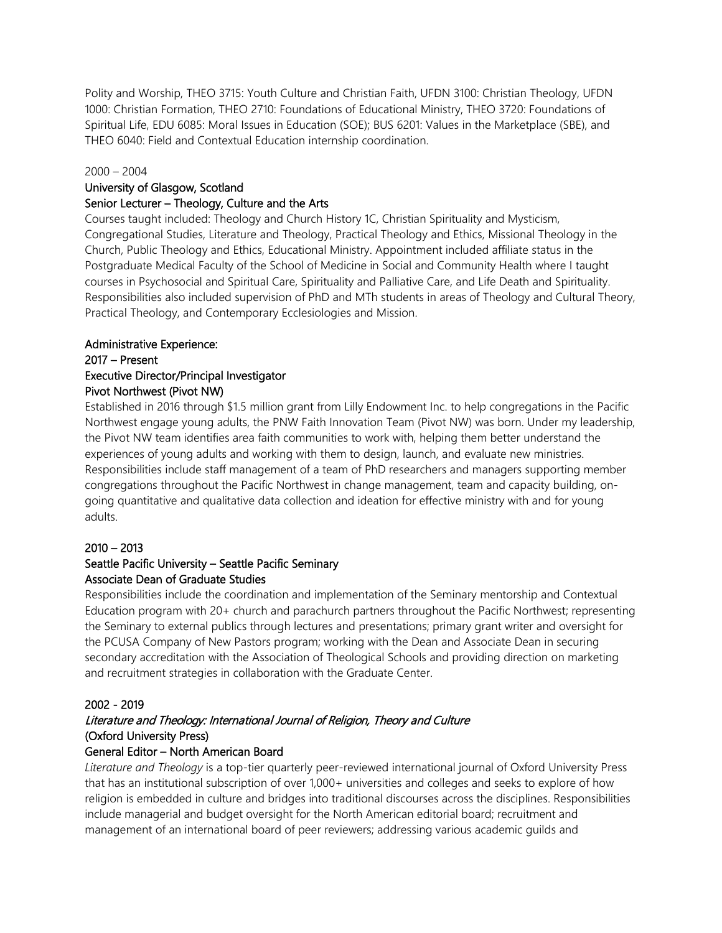Polity and Worship, THEO 3715: Youth Culture and Christian Faith, UFDN 3100: Christian Theology, UFDN 1000: Christian Formation, THEO 2710: Foundations of Educational Ministry, THEO 3720: Foundations of Spiritual Life, EDU 6085: Moral Issues in Education (SOE); BUS 6201: Values in the Marketplace (SBE), and THEO 6040: Field and Contextual Education internship coordination.

#### 2000 – 2004

## University of Glasgow, Scotland

#### Senior Lecturer – Theology, Culture and the Arts

Courses taught included: Theology and Church History 1C, Christian Spirituality and Mysticism, Congregational Studies, Literature and Theology, Practical Theology and Ethics, Missional Theology in the Church, Public Theology and Ethics, Educational Ministry. Appointment included affiliate status in the Postgraduate Medical Faculty of the School of Medicine in Social and Community Health where I taught courses in Psychosocial and Spiritual Care, Spirituality and Palliative Care, and Life Death and Spirituality. Responsibilities also included supervision of PhD and MTh students in areas of Theology and Cultural Theory, Practical Theology, and Contemporary Ecclesiologies and Mission.

#### Administrative Experience:

## 2017 – Present Executive Director/Principal Investigator Pivot Northwest (Pivot NW)

Established in 2016 through \$1.5 million grant from Lilly Endowment Inc. to help congregations in the Pacific Northwest engage young adults, the PNW Faith Innovation Team (Pivot NW) was born. Under my leadership, the Pivot NW team identifies area faith communities to work with, helping them better understand the experiences of young adults and working with them to design, launch, and evaluate new ministries. Responsibilities include staff management of a team of PhD researchers and managers supporting member congregations throughout the Pacific Northwest in change management, team and capacity building, ongoing quantitative and qualitative data collection and ideation for effective ministry with and for young adults.

#### 2010 – 2013

## Seattle Pacific University – Seattle Pacific Seminary Associate Dean of Graduate Studies

Responsibilities include the coordination and implementation of the Seminary mentorship and Contextual Education program with 20+ church and parachurch partners throughout the Pacific Northwest; representing the Seminary to external publics through lectures and presentations; primary grant writer and oversight for the PCUSA Company of New Pastors program; working with the Dean and Associate Dean in securing secondary accreditation with the Association of Theological Schools and providing direction on marketing and recruitment strategies in collaboration with the Graduate Center.

#### 2002 - 2019

## Literature and Theology: International Journal of Religion, Theory and Culture (Oxford University Press)

## General Editor – North American Board

*Literature and Theology* is a top-tier quarterly peer-reviewed international journal of Oxford University Press that has an institutional subscription of over 1,000+ universities and colleges and seeks to explore of how religion is embedded in culture and bridges into traditional discourses across the disciplines. Responsibilities include managerial and budget oversight for the North American editorial board; recruitment and management of an international board of peer reviewers; addressing various academic guilds and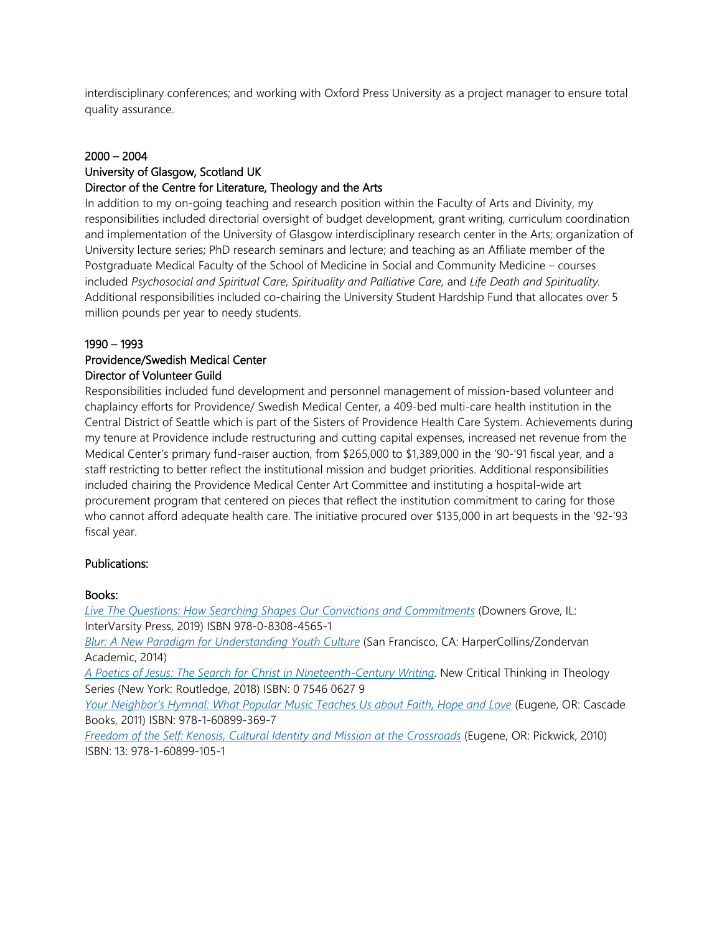interdisciplinary conferences; and working with Oxford Press University as a project manager to ensure total quality assurance.

#### 2000 – 2004

## University of Glasgow, Scotland UK

#### Director of the Centre for Literature, Theology and the Arts

In addition to my on-going teaching and research position within the Faculty of Arts and Divinity, my responsibilities included directorial oversight of budget development, grant writing, curriculum coordination and implementation of the University of Glasgow interdisciplinary research center in the Arts; organization of University lecture series; PhD research seminars and lecture; and teaching as an Affiliate member of the Postgraduate Medical Faculty of the School of Medicine in Social and Community Medicine – courses included *Psychosocial and Spiritual Care, Spirituality and Palliative Care,* and *Life Death and Spirituality.*  Additional responsibilities included co-chairing the University Student Hardship Fund that allocates over 5 million pounds per year to needy students.

#### 1990 – 1993

#### Providence/Swedish Medical Center Director of Volunteer Guild

Responsibilities included fund development and personnel management of mission-based volunteer and chaplaincy efforts for Providence/ Swedish Medical Center, a 409-bed multi-care health institution in the Central District of Seattle which is part of the Sisters of Providence Health Care System. Achievements during my tenure at Providence include restructuring and cutting capital expenses, increased net revenue from the Medical Center's primary fund-raiser auction, from \$265,000 to \$1,389,000 in the '90-'91 fiscal year, and a staff restricting to better reflect the institutional mission and budget priorities. Additional responsibilities included chairing the Providence Medical Center Art Committee and instituting a hospital-wide art procurement program that centered on pieces that reflect the institution commitment to caring for those who cannot afford adequate health care. The initiative procured over \$135,000 in art bequests in the '92-'93 fiscal year.

#### Publications:

#### Books:

*[Live The Questions: How Searching Shapes Our Convictions](https://www.amazon.com/Live-Questions-Searching-Convictions-Commitments/dp/0830845658/ref=sr_1_1_sspa?keywords=live+the+questions+keuss&qid=1557334262&s=gateway&sr=8-1-spell-spons&psc=1) and Commitments* (Downers Grove, IL: InterVarsity Press, 2019) ISBN 978-0-8308-4565-1

*[Blur: A New Paradigm for Understanding Youth Culture](https://www.amazon.com/Blur-Paradigm-Understanding-Youth-Culture/dp/0310514843/ref=tmm_pap_swatch_0?_encoding=UTF8&qid=&sr=)* (San Francisco, CA: HarperCollins/Zondervan Academic, 2014)

*[A Poetics of Jesus: The Search for Christ in Nineteenth-Century Writing](https://www.amazon.com/gp/product/B07JPX4ZQ9/ref=dbs_a_def_rwt_bibl_vppi_i4)*. New Critical Thinking in Theology Series (New York: Routledge, 2018) ISBN: 0 7546 0627 9

*[Your Neighbor's Hymnal: What Popular Music Teaches Us about Faith, Hope and Love](https://www.amazon.com/Your-Neighbors-Hymnal-Popular-Teaches/dp/1608993698/ref=sr_1_2?qid=1557334300&refinements=p_27%3AJeffrey+F.+Keuss&s=books&sr=1-2&text=Jeffrey+F.+Keuss)* (Eugene, OR: Cascade Books, 2011) ISBN: 978-1-60899-369-7

*[Freedom of the Self: Kenosis, Cultural Identity and Mission at the Crossroads](https://www.amazon.com/Freedom-Self-Cultural-Identity-Crossroads/dp/1608991059/ref=tmm_pap_swatch_0?_encoding=UTF8&qid=1557334371&sr=1-4)* (Eugene, OR: Pickwick, 2010) ISBN: 13: 978-1-60899-105-1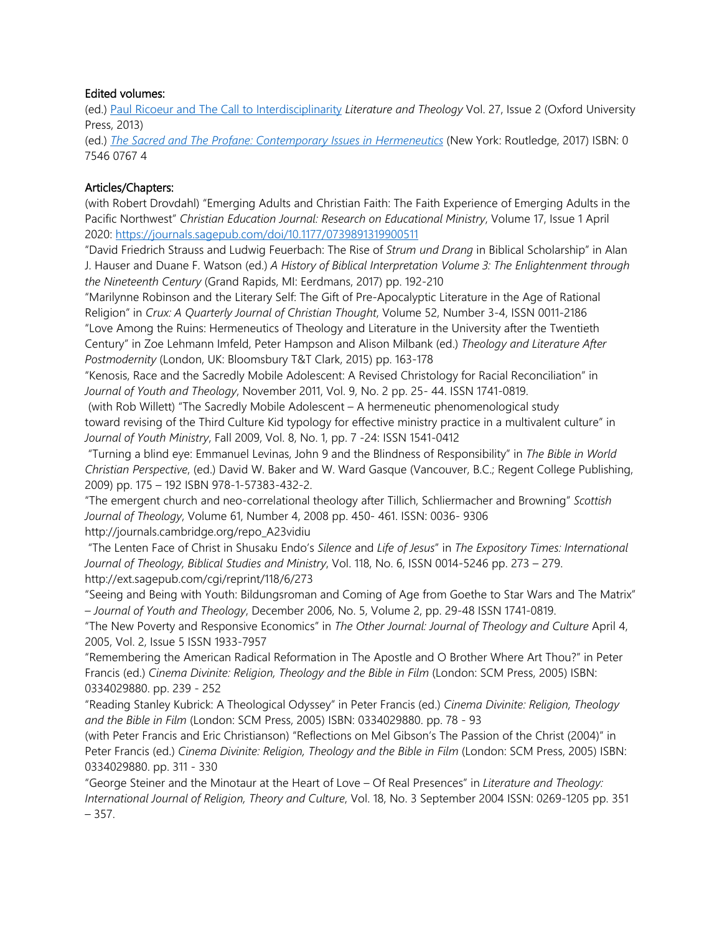#### Edited volumes:

(ed.) [Paul Ricoeur and The Call to Interdisciplinarity](https://academic.oup.com/litthe/article/27/2/143/978767) *Literature and Theology* Vol. 27, Issue 2 (Oxford University Press, 2013)

(ed.) *[The Sacred and The Profane: Contemporary Issues in Hermeneutics](https://www.amazon.com/gp/product/B06XDCX8ST/ref=dbs_a_def_rwt_bibl_vppi_i5)* (New York: Routledge, 2017) ISBN: 0 7546 0767 4

## Articles/Chapters:

(with Robert Drovdahl) "Emerging Adults and Christian Faith: The Faith Experience of Emerging Adults in the Pacific Northwest" *Christian Education Journal: Research on Educational Ministry*, Volume 17, Issue 1 April 2020:<https://journals.sagepub.com/doi/10.1177/0739891319900511>

"David Friedrich Strauss and Ludwig Feuerbach: The Rise of *Strum und Drang* in Biblical Scholarship" in Alan J. Hauser and Duane F. Watson (ed.) *A History of Biblical Interpretation Volume 3: The Enlightenment through the Nineteenth Century* (Grand Rapids, MI: Eerdmans, 2017) pp. 192-210

"Marilynne Robinson and the Literary Self: The Gift of Pre-Apocalyptic Literature in the Age of Rational Religion" in *Crux: A Quarterly Journal of Christian Thought*, Volume 52, Number 3-4, ISSN 0011-2186 "Love Among the Ruins: Hermeneutics of Theology and Literature in the University after the Twentieth Century" in Zoe Lehmann Imfeld, Peter Hampson and Alison Milbank (ed.) *Theology and Literature After Postmodernity* (London, UK: Bloomsbury T&T Clark, 2015) pp. 163-178

"Kenosis, Race and the Sacredly Mobile Adolescent: A Revised Christology for Racial Reconciliation" in *Journal of Youth and Theology*, November 2011, Vol. 9, No. 2 pp. 25- 44. ISSN 1741-0819.

(with Rob Willett) "The Sacredly Mobile Adolescent – A hermeneutic phenomenological study toward revising of the Third Culture Kid typology for effective ministry practice in a multivalent culture" in *Journal of Youth Ministry*, Fall 2009, Vol. 8, No. 1, pp. 7 -24: ISSN 1541-0412

"Turning a blind eye: Emmanuel Levinas, John 9 and the Blindness of Responsibility" in *The Bible in World Christian Perspective*, (ed.) David W. Baker and W. Ward Gasque (Vancouver, B.C.; Regent College Publishing, 2009) pp. 175 – 192 ISBN 978-1-57383-432-2.

"The emergent church and neo-correlational theology after Tillich, Schliermacher and Browning" *Scottish Journal of Theology*, Volume 61, Number 4, 2008 pp. 450- 461. ISSN: 0036- 9306 http://journals.cambridge.org/repo\_A23vidiu

"The Lenten Face of Christ in Shusaku Endo's *Silence* and *Life of Jesus*" in *The Expository Times: International Journal of Theology, Biblical Studies and Ministry*, Vol. 118, No. 6, ISSN 0014-5246 pp. 273 – 279. http://ext.sagepub.com/cgi/reprint/118/6/273

"Seeing and Being with Youth: Bildungsroman and Coming of Age from Goethe to Star Wars and The Matrix" – *Journal of Youth and Theology*, December 2006, No. 5, Volume 2, pp. 29-48 ISSN 1741-0819.

"The New Poverty and Responsive Economics" in *The Other Journal: Journal of Theology and Culture* April 4, 2005, Vol. 2, Issue 5 ISSN 1933-7957

"Remembering the American Radical Reformation in The Apostle and O Brother Where Art Thou?" in Peter Francis (ed.) *Cinema Divinite: Religion, Theology and the Bible in Film* (London: SCM Press, 2005) ISBN: 0334029880. pp. 239 - 252

"Reading Stanley Kubrick: A Theological Odyssey" in Peter Francis (ed.) *Cinema Divinite: Religion, Theology and the Bible in Film* (London: SCM Press, 2005) ISBN: 0334029880. pp. 78 - 93

(with Peter Francis and Eric Christianson) "Reflections on Mel Gibson's The Passion of the Christ (2004)" in Peter Francis (ed.) *Cinema Divinite: Religion, Theology and the Bible in Film* (London: SCM Press, 2005) ISBN: 0334029880. pp. 311 - 330

"George Steiner and the Minotaur at the Heart of Love – Of Real Presences" in *Literature and Theology: International Journal of Religion, Theory and Culture*, Vol. 18, No. 3 September 2004 ISSN: 0269-1205 pp. 351  $-357.$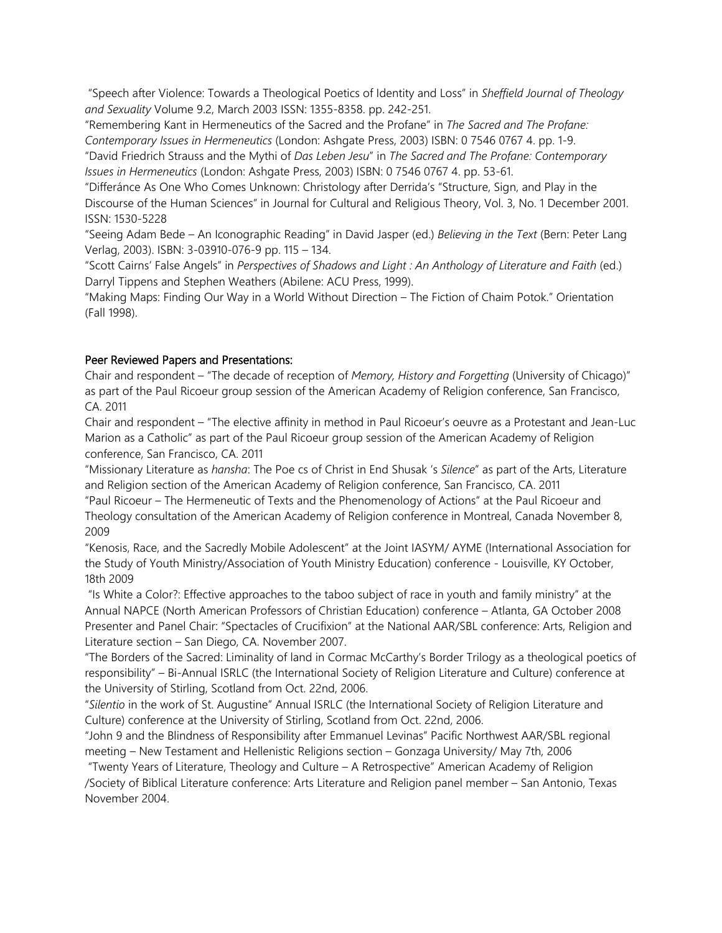"Speech after Violence: Towards a Theological Poetics of Identity and Loss" in *Sheffield Journal of Theology and Sexuality* Volume 9.2, March 2003 ISSN: 1355-8358. pp. 242-251.

"Remembering Kant in Hermeneutics of the Sacred and the Profane" in *The Sacred and The Profane: Contemporary Issues in Hermeneutics* (London: Ashgate Press, 2003) ISBN: 0 7546 0767 4. pp. 1-9.

"David Friedrich Strauss and the Mythi of *Das Leben Jesu*" in *The Sacred and The Profane: Contemporary Issues in Hermeneutics* (London: Ashgate Press, 2003) ISBN: 0 7546 0767 4. pp. 53-61.

"Differánce As One Who Comes Unknown: Christology after Derrida's "Structure, Sign, and Play in the Discourse of the Human Sciences" in Journal for Cultural and Religious Theory, Vol. 3, No. 1 December 2001. ISSN: 1530-5228

"Seeing Adam Bede – An Iconographic Reading" in David Jasper (ed.) *Believing in the Text* (Bern: Peter Lang Verlag, 2003). ISBN: 3-03910-076-9 pp. 115 – 134.

"Scott Cairns' False Angels" in *Perspectives of Shadows and Light : An Anthology of Literature and Faith* (ed.) Darryl Tippens and Stephen Weathers (Abilene: ACU Press, 1999).

"Making Maps: Finding Our Way in a World Without Direction – The Fiction of Chaim Potok." Orientation (Fall 1998).

#### Peer Reviewed Papers and Presentations:

Chair and respondent – "The decade of reception of *Memory, History and Forgetting* (University of Chicago)" as part of the Paul Ricoeur group session of the American Academy of Religion conference, San Francisco, CA. 2011

Chair and respondent – "The elective affinity in method in Paul Ricoeur's oeuvre as a Protestant and Jean-Luc Marion as a Catholic" as part of the Paul Ricoeur group session of the American Academy of Religion conference, San Francisco, CA. 2011

"Missionary Literature as *hansha*: The Poe cs of Christ in End Shusak 's *Silence*" as part of the Arts, Literature and Religion section of the American Academy of Religion conference, San Francisco, CA. 2011

"Paul Ricoeur – The Hermeneutic of Texts and the Phenomenology of Actions" at the Paul Ricoeur and Theology consultation of the American Academy of Religion conference in Montreal, Canada November 8, 2009

"Kenosis, Race, and the Sacredly Mobile Adolescent" at the Joint IASYM/ AYME (International Association for the Study of Youth Ministry/Association of Youth Ministry Education) conference - Louisville, KY October, 18th 2009

"Is White a Color?: Effective approaches to the taboo subject of race in youth and family ministry" at the Annual NAPCE (North American Professors of Christian Education) conference – Atlanta, GA October 2008 Presenter and Panel Chair: "Spectacles of Crucifixion" at the National AAR/SBL conference: Arts, Religion and Literature section – San Diego, CA. November 2007.

"The Borders of the Sacred: Liminality of land in Cormac McCarthy's Border Trilogy as a theological poetics of responsibility" – Bi-Annual ISRLC (the International Society of Religion Literature and Culture) conference at the University of Stirling, Scotland from Oct. 22nd, 2006.

"*Silentio* in the work of St. Augustine" Annual ISRLC (the International Society of Religion Literature and Culture) conference at the University of Stirling, Scotland from Oct. 22nd, 2006.

"John 9 and the Blindness of Responsibility after Emmanuel Levinas" Pacific Northwest AAR/SBL regional meeting – New Testament and Hellenistic Religions section – Gonzaga University/ May 7th, 2006

"Twenty Years of Literature, Theology and Culture – A Retrospective" American Academy of Religion /Society of Biblical Literature conference: Arts Literature and Religion panel member – San Antonio, Texas November 2004.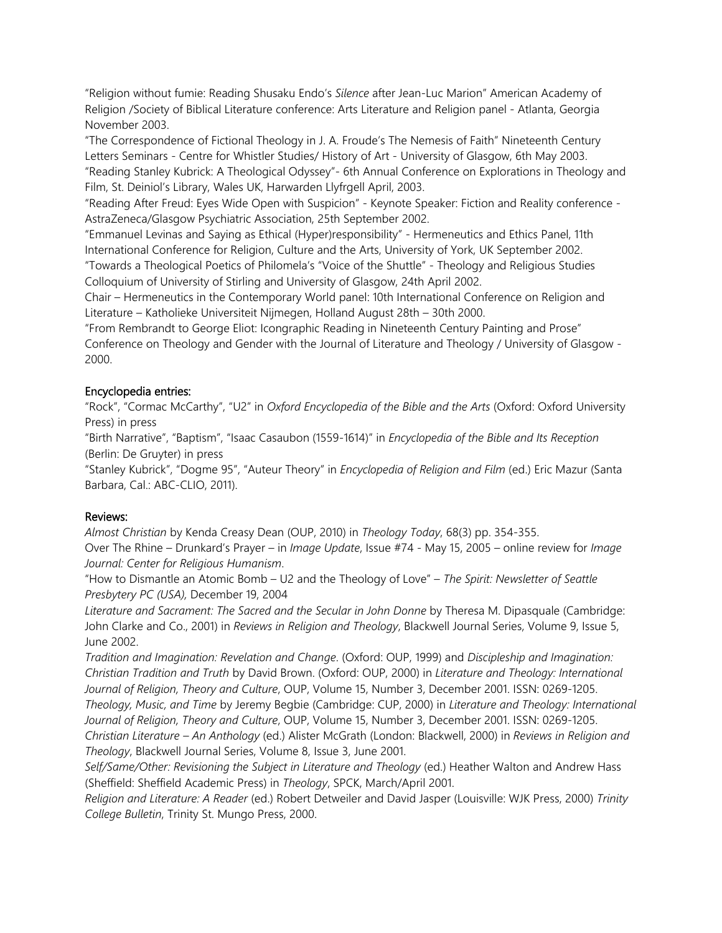"Religion without fumie: Reading Shusaku Endo's *Silence* after Jean-Luc Marion" American Academy of Religion /Society of Biblical Literature conference: Arts Literature and Religion panel - Atlanta, Georgia November 2003.

"The Correspondence of Fictional Theology in J. A. Froude's The Nemesis of Faith" Nineteenth Century Letters Seminars - Centre for Whistler Studies/ History of Art - University of Glasgow, 6th May 2003. "Reading Stanley Kubrick: A Theological Odyssey"- 6th Annual Conference on Explorations in Theology and Film, St. Deiniol's Library, Wales UK, Harwarden Llyfrgell April, 2003.

"Reading After Freud: Eyes Wide Open with Suspicion" - Keynote Speaker: Fiction and Reality conference - AstraZeneca/Glasgow Psychiatric Association, 25th September 2002.

"Emmanuel Levinas and Saying as Ethical (Hyper)responsibility" - Hermeneutics and Ethics Panel, 11th International Conference for Religion, Culture and the Arts, University of York, UK September 2002. "Towards a Theological Poetics of Philomela's "Voice of the Shuttle" - Theology and Religious Studies

Colloquium of University of Stirling and University of Glasgow, 24th April 2002.

Chair – Hermeneutics in the Contemporary World panel: 10th International Conference on Religion and Literature – Katholieke Universiteit Nijmegen, Holland August 28th – 30th 2000.

"From Rembrandt to George Eliot: Icongraphic Reading in Nineteenth Century Painting and Prose" Conference on Theology and Gender with the Journal of Literature and Theology / University of Glasgow - 2000.

## Encyclopedia entries:

"Rock", "Cormac McCarthy", "U2" in *Oxford Encyclopedia of the Bible and the Arts* (Oxford: Oxford University Press) in press

"Birth Narrative", "Baptism", "Isaac Casaubon (1559-1614)" in *Encyclopedia of the Bible and Its Reception*  (Berlin: De Gruyter) in press

"Stanley Kubrick", "Dogme 95", "Auteur Theory" in *Encyclopedia of Religion and Film* (ed.) Eric Mazur (Santa Barbara, Cal.: ABC-CLIO, 2011).

#### Reviews:

*Almost Christian* by Kenda Creasy Dean (OUP, 2010) in *Theology Today*, 68(3) pp. 354-355. Over The Rhine – Drunkard's Prayer – in *Image Update*, Issue #74 - May 15, 2005 – online review for *Image Journal: Center for Religious Humanism*.

"How to Dismantle an Atomic Bomb – U2 and the Theology of Love" – *The Spirit: Newsletter of Seattle Presbytery PC (USA),* December 19, 2004

Literature and Sacrament: The Sacred and the Secular in John Donne by Theresa M. Dipasquale (Cambridge: John Clarke and Co., 2001) in *Reviews in Religion and Theology*, Blackwell Journal Series, Volume 9, Issue 5, June 2002.

*Tradition and Imagination: Revelation and Change*. (Oxford: OUP, 1999) and *Discipleship and Imagination: Christian Tradition and Truth* by David Brown. (Oxford: OUP, 2000) in *Literature and Theology: International Journal of Religion, Theory and Culture*, OUP, Volume 15, Number 3, December 2001. ISSN: 0269-1205.

*Theology, Music, and Time* by Jeremy Begbie (Cambridge: CUP, 2000) in *Literature and Theology: International Journal of Religion, Theory and Culture*, OUP, Volume 15, Number 3, December 2001. ISSN: 0269-1205.

*Christian Literature – An Anthology* (ed.) Alister McGrath (London: Blackwell, 2000) in *Reviews in Religion and Theology*, Blackwell Journal Series, Volume 8, Issue 3, June 2001.

*Self/Same/Other: Revisioning the Subject in Literature and Theology* (ed.) Heather Walton and Andrew Hass (Sheffield: Sheffield Academic Press) in *Theology*, SPCK, March/April 2001.

*Religion and Literature: A Reader* (ed.) Robert Detweiler and David Jasper (Louisville: WJK Press, 2000) *Trinity College Bulletin*, Trinity St. Mungo Press, 2000.